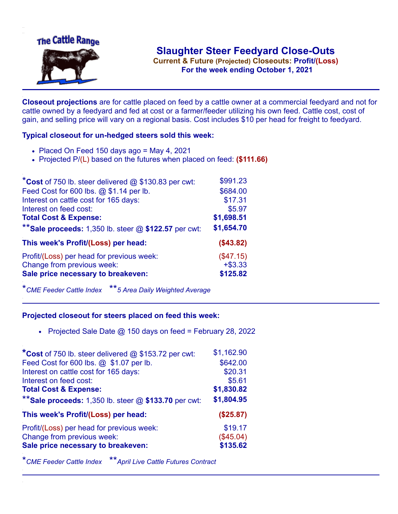

**Current & Future (Projected) Closeouts: Profit/(Loss)** .**For the week ending October 1, 2021**

**Closeout projections** are for cattle placed on feed by a cattle owner at a commercial feedyard and not for cattle owned by a feedyard and fed at cost or a farmer/feeder utilizing his own feed. Cattle cost, cost of gain, and selling price will vary on a regional basis. Cost includes \$10 per head for freight to feedyard.

## **Typical closeout for un-hedged steers sold this week:**

- $\bullet$  Placed On Feed 150 days ago = May 4, 2021
- Projected P/(L) based on the futures when placed on feed: **(\$111.66)**

| *Cost of 750 lb. steer delivered $@$ \$130.83 per cwt:  | \$991.23   |
|---------------------------------------------------------|------------|
| Feed Cost for 600 lbs. @ \$1.14 per lb.                 | \$684.00   |
| Interest on cattle cost for 165 days:                   | \$17.31    |
| Interest on feed cost:                                  | \$5.97     |
| <b>Total Cost &amp; Expense:</b>                        | \$1,698.51 |
| ** Sale proceeds: 1,350 lb. steer $@$ \$122.57 per cwt: | \$1,654.70 |
| This week's Profit/(Loss) per head:                     | (\$43.82)  |
| Profit/(Loss) per head for previous week:               | (\$47.15)  |
| Change from previous week:                              | $+ $3.33$  |
| Sale price necessary to breakeven:                      | \$125.82   |

\**CME Feeder Cattle Index* \*\**5 Area Daily Weighted Average*

## **Projected closeout for steers placed on feed this week:**

• Projected Sale Date  $@$  150 days on feed = February 28, 2022

| *Cost of 750 lb. steer delivered @ \$153.72 per cwt:    | \$1,162.90 |
|---------------------------------------------------------|------------|
| Feed Cost for 600 lbs. @ \$1.07 per lb.                 | \$642.00   |
| Interest on cattle cost for 165 days:                   | \$20.31    |
| Interest on feed cost:                                  | \$5.61     |
| <b>Total Cost &amp; Expense:</b>                        | \$1,830.82 |
| ** Sale proceeds: 1,350 lb. steer $@$ \$133.70 per cwt: | \$1,804.95 |
| This week's Profit/(Loss) per head:                     | (\$25.87)  |
| Profit/(Loss) per head for previous week:               | \$19.17    |
| Change from previous week:                              | (\$45.04)  |
| Sale price necessary to breakeven:                      | \$135.62   |

\**CME Feeder Cattle Index* \*\**April Live Cattle Futures Contract*